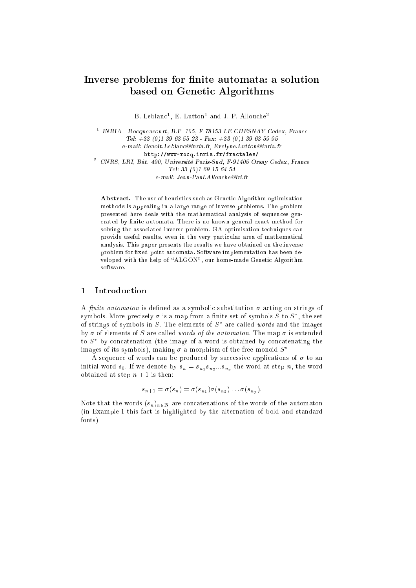# Inverse problems for finite automata: a solution based on Genetic Algorithms

B. Leblance, E. Lutton and J.-P. Allouche-

 $^{\rm 1}$  INRIA - Rocquencourt, B.P. 105, F-78153 LE CHESNAY Cedex, France Tel: +33 (0)1 <sup>39</sup> <sup>63</sup> <sup>55</sup> <sup>23</sup> - Fax: +33 (0)1 <sup>39</sup> <sup>63</sup> <sup>59</sup> <sup>95</sup> e-mail: Benoit.Leblanc@inria.fr, Evelyne.Lutton@inria.fr http://www-rocq.inria.fr/fractales/  $^2$  CNRS, LRI, Bât. 490, Université Paris-Sud, F-91405 Orsay Cedex, France Tel: <sup>33</sup> (0)1 <sup>69</sup> <sup>15</sup> <sup>64</sup> <sup>54</sup> e-mail: Jean-Paul.Allouche@lri.fr

Abstract. The use of heuristics such as Genetic Algorithm optimisation methods is appealing in a large range of inverse problems. The problem presented here deals with the mathematical analysis of sequences generated by finite automata. There is no known general exact method for solving the associated inverse problem. GA optimisation techniques can provide useful results, even in the very particular area of mathematical analysis. This paper presents the results we have obtained on the inverse problem for fixed point automata. Software implementation has been developed with the help of \ALGON", our home-made Genetic Algorithm software.

## <sup>1</sup> Introduction

A finite automaton is defined as a symbolic substitution  $\sigma$  acting on strings of symbols. More precisely  $\sigma$  is a map from a finite set of symbols S to  $S^*$ , the set of strings of symbols in S. The elements of  $S^*$  are called words and the images by  $\sigma$  of elements of S are called words of the automaton. The map  $\sigma$  is extended to  $S^*$  by concatenation (the image of a word is obtained by concatenating the images of its symbols), making  $\sigma$  a morphism of the free monoid  $S^*$ .

A sequence of words can be produced by successive applications of  $\sigma$  to an initial word  $s_0$ . If we denote by  $s_n = s_{n_1} s_{n_2}...s_{n_n}$  the word at step  $n$ , the word obtained at step  $n + 1$  is then:

$$
s_{n+1} = \sigma(s_n) = \sigma(s_{n_1})\sigma(s_{n_2})\dots\sigma(s_{n_n}).
$$

Note that the words  $(s_n)_{n\in\mathbb{N}}$  are concatenations of the words of the automaton (in Example 1 this fact is highlighted by the alternation of bold and standard fonts).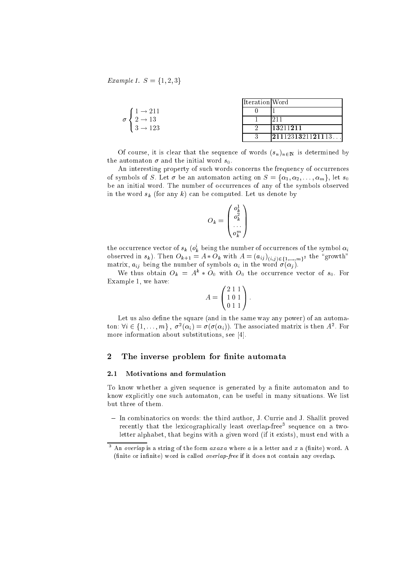*Example 1.*  $S = \{1, 2, 3\}$ 

|                                      | <i><u><b>Iteration</b>Word</u></i> |                  |
|--------------------------------------|------------------------------------|------------------|
| $1 \rightarrow 211$                  |                                    |                  |
| $\sigma \leftarrow 2 \rightarrow 13$ |                                    |                  |
| $3 \rightarrow 123$                  |                                    | 13211211         |
|                                      | っ                                  | 2111231321121113 |

Of course, it is clear that the sequence of words  $(s_n)_{n\in\mathbb{N}}$  is determined by the automaton  $\sigma$  and the initial word  $s_0$ .

An interesting property of such words concerns the frequency of occurrences of symbols of S. Let  $\sigma$  be an automaton acting on  $S = {\alpha_1, \alpha_2, \ldots, \alpha_m}$ , let  $s_0$ be an initial word. The number of occurrences of any of the symbols observed in the word  $s_k$  (for any k) can be computed. Let us denote by

$$
O_k = \begin{pmatrix} o_k^1 \\ o_k^2 \\ \vdots \\ o_k^m \end{pmatrix}
$$

the occurrence vector of  $s_k$  ( $\sigma_k^*$  being the number of occurrences of the symbol  $\alpha_i$ observed in  $s_k$ ). Then  $O_{k+1} = A * O_k$  with  $A = (a_{ij})_{(i,j)\in\{1,...,m\}^2}$  the "growth" matrix,  $a_{ij}$  being the number of symbols  $\alpha_i$  in the word  $\sigma(\alpha_j)$ .

We thus obtain  $O_k = A^k * O_0$  with  $O_0$  the occurrence vector of  $s_0$ . For Example 1, we have:

$$
A = \begin{pmatrix} 2 & 1 & 1 \\ 1 & 0 & 1 \\ 0 & 1 & 1 \end{pmatrix}
$$

:

Let us also define the square (and in the same way any power) of an automaton:  $\forall i \in \{1, \ldots, m\}, \ \sigma^2(\alpha_i) = \sigma(\sigma(\alpha_i))$ . The associated matrix is then  $A^2$ . For more information about substitutions, see [4].

## 2 The inverse problem for finite automata

#### 2.1 Motivations and formulation

To know whether a given sequence is generated by a finite automaton and to know explicitly one such automaton, can be useful in many situations. We list but three of them.

{ In combinatorics on words: the third author, J. Currie and J. Shallit proved recently that the lexicographically least overlap-free sequence on a twoletter alphabet, that begins with a given word (if it exists), must end with a

<sup>&</sup>lt;sup>3</sup> An *overlap* is a string of the form *axaxa* where *a* is a letter and *x* a (finite) word. A (finite or infinite) word is called *overlap-free* if it does not contain any overlap.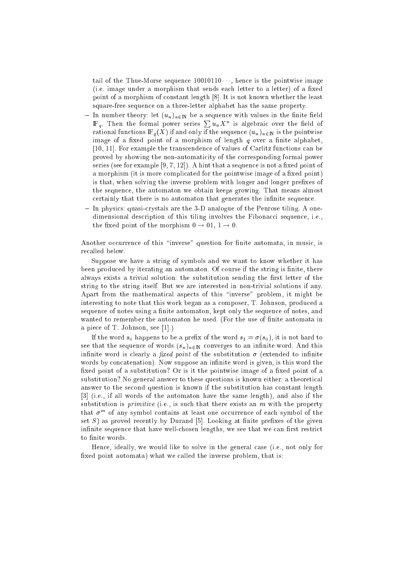tail of the Thue-Morse sequence  $10010110 \cdots$ , hence is the pointwise image  $(i.e. image under a morphism that sends each letter to a letter) of a fixed$ point of a morphism of constant length [8]. It is not known whether the least square-free sequence on a three-letter alphabet has the same property.

- In number theory: let  $(u_n)_{n\in\mathbb{N}}$  be a sequence with values in the finite field  $\mathbb{F}_q$ . Then the formal power series  $\sum u_n X^n$  is algebraic over the field of rational functions  $\mathbb{F}_q(X)$  if and only if the sequence  $(u_n)_{n\in\mathbb{N}}$  is the pointwise image of a fixed point of a morphism of length  $q$  over a finite alphabet, [10, 11]. For example the transcendence of values of Carlitz functions can be proved by showing the non-automaticity of the corresponding formal power series (see for example  $[9, 7, 12]$ ). A hint that a sequence is not a fixed point of a morphism (it is more complicated for the pointwise image of a fixed point) is that, when solving the inverse problem with longer and longer prefixes of the sequence, the automaton we obtain keeps growing. That means almost certainly that there is no automaton that generates the infinite sequence.
- ${\rm -}$  In physics: quasi-crystals are the 3-D analogue of the Penrose tiling. A onedimensional description of this tiling involves the Fibonacci sequence, i.e., the fixed point of the morphism  $0 \rightarrow 01, 1 \rightarrow 0$ .

Another occurrence of this "inverse" question for finite automata, in music, is recalled below.

Suppose we have a string of symbols and we want to know whether it has been produced by iterating an automaton. Of course if the string is finite, there always exists a trivial solution: the substitution sending the first letter of the string to the string itself. But we are interested in non-trivial solutions if any. Apart from the mathematical aspects of this "inverse" problem, it might be interesting to note that this work began as a composer, T. Johnson, produced a sequence of notes using a finite automaton, kept only the sequence of notes, and wanted to remember the automaton he used. (For the use of nite automata in a piece of T. Johnson, see [1].)

If the word  $s_0$  happens to be a prefix of the word  $s_1 = \sigma(s_0)$ , it is not hard to see that the sequence of words  $(s_n)_{n\in\mathbb{N}}$  converges to an infinite word. And this infinite word is clearly a *fixed point* of the substitution  $\sigma$  (extended to infinite words by concatenation). Now suppose an infinite word is given, is this word the fixed point of a substitution? Or is it the pointwise image of a fixed point of a substitution? No general answer to these questions is known either: a theoretical answer to the second question is known if the substitution has constant length [3] (i.e., if all words of the automaton have the same length), and also if the substitution is *primitive* (i.e., is such that there exists an  $m$  with the property that  $\sigma$   $\cdots$  of any symbol contains at least one occurrence of each symbol of the set  $S$ ) as proved recently by Durand [5]. Looking at finite prefixes of the given infinite sequence that have well-chosen lengths, we see that we can first restrict to finite words.

Hence, ideally, we would like to solve in the general case (i.e., not only for fixed point automata) what we called the inverse problem, that is: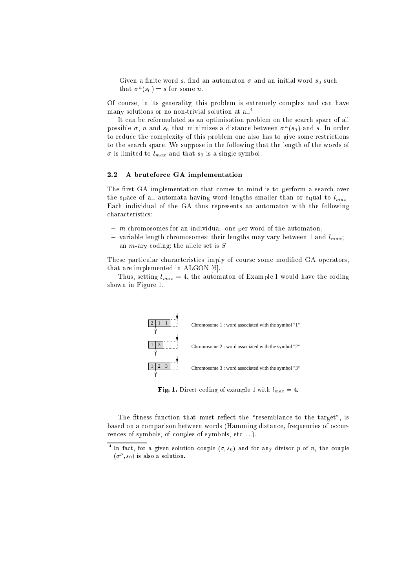Given a finite word s, find an automaton  $\sigma$  and an initial word s<sub>0</sub> such that  $\sigma^{\prime\prime}(s_0)=s$  for some  $n.$ 

Of course, in its generality, this problem is extremely complex and can have many solutions or no non-trivial solution at all .

It can be reformulated as an optimisation problem on the search space of all possible  $\sigma$ , n and  $s_0$  that minimizes a distance between  $\sigma^{\prime\prime}(s_0)$  and s. In order to reduce the complexity of this problem one also has to give some restrictions to the search space. We suppose in the following that the length of the words of  $\sigma$  is limited to  $l_{max}$  and that  $s_0$  is a single symbol.

#### 2.2 A bruteforce GA implementation

The first GA implementation that comes to mind is to perform a search over the space of all automata having word lengths smaller than or equal to  $l_{max}$ . Each individual of the GA thus represents an automaton with the following characteristics:

- ${ m}$  chromosomes for an individual: one per word of the automaton;
- variable length chromosomes: their lengths may vary between 1 and  $l_{max}$ ;
- $-$  an *m*-ary coding: the allele set is S.

These particular characteristics imply of course some modified GA operators, that are implemented in ALGON [6].

Thus, setting  $l_{max} = 4$ , the automaton of Example 1 would have the coding shown in Figure 1.



Fig. 1. Direct coding of example 1 with  $l_{max} = 4$ .

The fitness function that must reflect the "resemblance to the target", is based on a comparison between words (Hamming distance, frequencies of occurrences of symbols, of couples of symbols, etc. . . ).

<sup>&</sup>lt;sup>4</sup> In fact, for a given solution couple  $(\sigma, s_0)$  and for any divisor p of n, the couple  $(\sigma^r, s_0)$  is also a solution.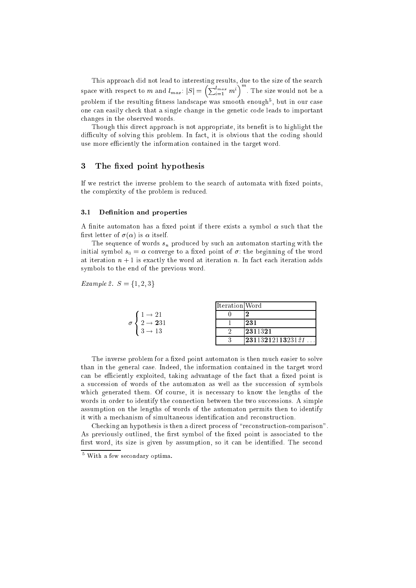This approach did not lead to interesting results, due to the size of the search space with respect to  $m$  and  $l_{max}$ :  $|S| = \left(\sum_{i=1}^{l_{max}} m^i \right)^m$ problem if the resulting fitness landscape was smooth enough , but in our case one can easily check that a single change in the genetic code leads to important changes in the observed words.

Though this direct approach is not appropriate, its benefit is to highlight the difficulty of solving this problem. In fact, it is obvious that the coding should use more efficiently the information contained in the target word.

## 3 The fixed point hypothesis

If we restrict the inverse problem to the search of automata with fixed points, the complexity of the problem is reduced.

#### $3.1$ Definition and properties

A finite automaton has a fixed point if there exists a symbol  $\alpha$  such that the first letter of  $\sigma(\alpha)$  is  $\alpha$  itself.

The sequence of words  $s_n$  produced by such an automaton starting with the initial symbol  $s_0 = \alpha$  converge to a fixed point of  $\sigma$ : the beginning of the word at iteration  $n + 1$  is exactly the word at iteration n. In fact each iteration adds symbols to the end of the previous word.

*Example 2.*  $S = \{1, 2, 3\}$ 

|                                 | Ilteration Word |                                                 |
|---------------------------------|-----------------|-------------------------------------------------|
| $1 \rightarrow 21$              |                 |                                                 |
| $2 \rightarrow 231$<br>$\sigma$ |                 | 231                                             |
| $3 \rightarrow 13$              |                 | 2311321                                         |
|                                 | ∩               | $\mid\!\! 23113212113231 \, \mathit{21} \ldots$ |

The inverse problem for a fixed point automaton is then much easier to solve than in the general case. Indeed, the information contained in the target word can be efficiently exploited, taking advantage of the fact that a fixed point is a succession of words of the automaton as well as the succession of symbols which generated them. Of course, it is necessary to know the lengths of the words in order to identify the connection between the two successions. A simple assumption on the lengths of words of the automaton permits then to identify it with a mechanism of simultaneous identication and reconstruction.

Checking an hypothesis is then a direct process of "reconstruction-comparison". As previously outlined, the first symbol of the fixed point is associated to the first word, its size is given by assumption, so it can be identified. The second

 $^5$  With a few secondary optima.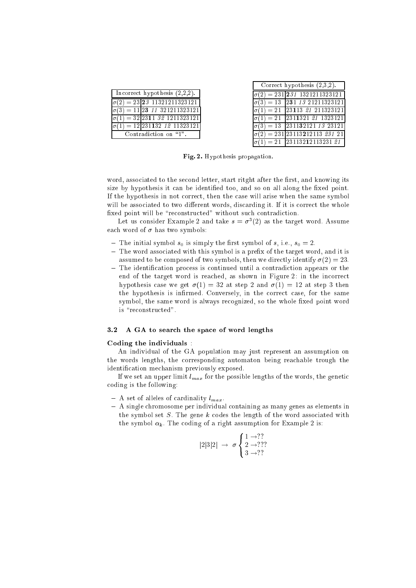| Incorrect hypothesis $(2,2,2)$ . |                                          |  |  |
|----------------------------------|------------------------------------------|--|--|
|                                  | $\sigma(2) = 23 23 11321211323121$       |  |  |
|                                  | $\sigma(3) = 11$ 23 11 321211323121      |  |  |
|                                  | $\sigma(1) = 32 2311 32 1211323121$      |  |  |
|                                  | $\sigma(1) = 12[231132 \ 12 \ 11323121]$ |  |  |
| Contradiction on "1".            |                                          |  |  |

| Correct hypothesis $(2,3,2)$ . |                                                           |  |  |
|--------------------------------|-----------------------------------------------------------|--|--|
|                                | $\sigma(2) = 231$ 231 1321211323121                       |  |  |
|                                | $\sigma(3) = 13 \overline{231} 13 \overline{21211323121}$ |  |  |
|                                | $\sigma(1) = 21$ 23113 21 211323121                       |  |  |
| $\sigma(1)=21$                 | 2311321 21 1323121                                        |  |  |
| $\sigma(3) = 13$               | 231132121 13 23121                                        |  |  |
|                                | $\sigma(2) = 231\,23113\,212113\,231\,21$                 |  |  |
|                                | $\sigma(1) = 21$ 23113212113231 21                        |  |  |

Fig. 2. Hypothesis propagation.

word, associated to the second letter, start ritght after the first, and knowing its size by hypothesis it can be identified too, and so on all along the fixed point. If the hypothesis in not correct, then the case will arise when the same symbol will be associated to two different words, discarding it. If it is correct the whole fixed point will be "reconstructed" without such contradiction.

Let us consider Example 2 and take  $s = \sigma^*(2)$  as the target word. Assume each word of  $\sigma$  has two symbols:

- The initial symbol  $s_0$  is simply the first symbol of s, i.e.,  $s_0 = 2$ .
- The word associated with this symbol is a prefix of the target word, and it is assumed to be composed of two symbols, then we directly identify  $\sigma(2) = 23$ .
- $-$  The identification process is continued until a contradiction appears or the end of the target word is reached, as shown in Figure 2: in the incorrect hypothesis case we get  $\sigma(1) = 32$  at step 2 and  $\sigma(1) = 12$  at step 3 then the hypothesis is infirmed. Conversely, in the correct case, for the same symbol, the same word is always recognized, so the whole fixed point word is "reconstructed".

#### 3.2 A GA to search the space of word lengths

#### Coding the individuals :

An individual of the GA population may just represent an assumption on the words lengths, the corresponding automaton being reachable trough the identification mechanism previously exposed.

If we set an upper limit  $l_{max}$  for the possible lengths of the words, the genetic coding is the following:

- $-$  A set of alleles of cardinality  $l_{max}$ .
- ${\bf -}$  A single chromosome per individual containing as many genes as elements in the symbol set  $S$ . The gene  $k$  codes the length of the word associated with the symbol  $\alpha_k$ . The coding of a right assumption for Example 2 is:

$$
|2|3|2| \rightarrow \sigma \begin{cases} 1 & \rightarrow ?? \\ 2 & \rightarrow ??? \\ 3 & \rightarrow ?? \end{cases}
$$

<sup>8</sup>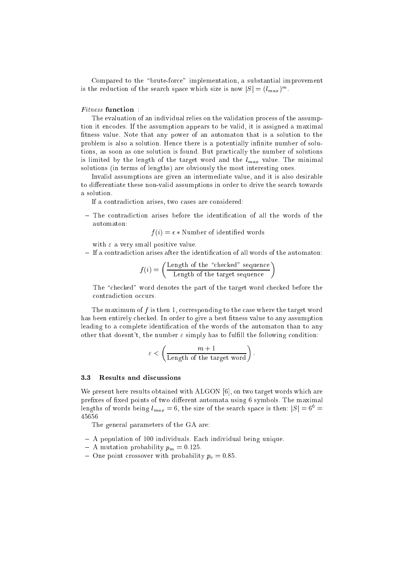Compared to the "brute-force" implementation, a substantial improvement is the reduction of the search space which size is now  $|S| = (l_{max})^m$ .

The evaluation of an individual relies on the validation process of the assumption it encodes. If the assumption appears to be valid, it is assigned a maximal fitness value. Note that any power of an automaton that is a solution to the problem is also a solution. Hence there is a potentially infinite number of solutions, as soon as one solution is found. But practically the number of solutions is limited by the length of the target word and the  $l_{max}$  value. The minimal solutions (in terms of lengths) are obviously the most interesting ones.

Invalid assumptions are given an intermediate value, and it is also desirable to differentiate these non-valid assumptions in order to drive the search towards a solution.

If a contradiction arises, two cases are considered:

 $-$  The contradiction arises before the identification of all the words of the

 $f(i) = \epsilon *$  Number of identified words

with  $\varepsilon$  a very small positive value.

 ${\sf I}$  If a contradiction arises after the identification of all words of the automaton:

$$
f(i) = \left(\frac{\text{Length of the "checked" sequence}}{\text{Length of the target sequence}}\right)
$$

The "checked" word denotes the part of the target word checked before the contradiction occurs.

The maximum of  $f$  is then 1, corresponding to the case where the target word has been entirely checked. In order to give a best fitness value to any assumption leading to a complete identification of the words of the automaton than to any other that doesnt't, the number  $\varepsilon$  simply has to fulfill the following condition:

$$
\varepsilon < \left(\frac{m+1}{\text{Length of the target word}}\right).
$$

#### 3.3 Results and discussions

We present here results obtained with ALGON [6], on two target words which are prefixes of fixed points of two different automata using 6 symbols. The maximal lengths of words being  $l_{max} = 6$ , the size of the search space is then:  $|S| = 6^6$ 45656

The general parameters of the GA are:

- A population of 100 individuals. Each individual being unique.
- $-$  A mutation probability  $p_m = 0.125$ .
- ${\rm -}$  One point crossover with probability  $p_c = 0.85$ .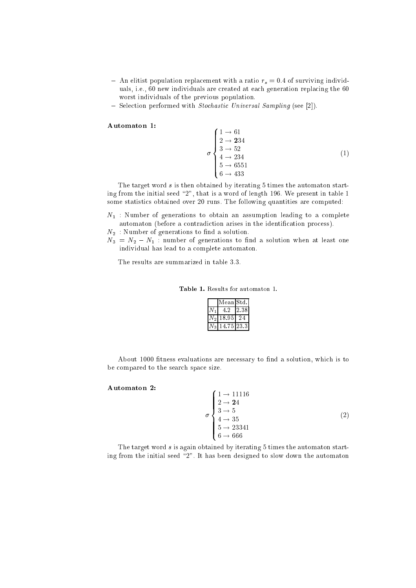- An elitist population replacement with a ratio  $r_s = 0.4$  of surviving individuals, i.e., 60 new individuals are created at each generation replacing the 60 worst individuals of the previous population.
- $=$  Selection performed with *Stochastic Universal Sampling* (see [2]).

- -

## Automaton 1:

σ  $\overline{\phantom{a}}$  $\perp$ 1 ! 61 - - - -3 ! 52 (1)

The target word s is then obtained by iterating 5 times the automaton starting from the initial seed  $2$ ", that is a word of length 196. We present in table 1 some statistics obtained over 20 runs. The following quantities are computed:

 $N_1$ : Number of generations to obtain an assumption leading to a complete automaton (before a contradiction arises in the identification process).

 $N_2$ : Number of generations to find a solution.

 $N_3 = N_2 - N_1$ : number of generations to find a solution when at least one individual has lead to a complete automaton.

The results are summarized in table 3.3.

Table 1. Results for automaton 1.

|                | Mean Std. |       |
|----------------|-----------|-------|
|                | -4-2      | 38    |
| $^{\prime}$ 2. | 18.95     |       |
| $\mathbf{z}$   | 14.75     | 123-3 |

About 1000 fitness evaluations are necessary to find a solution, which is to be compared to the search space size.

-

#### Automaton 2:

σ  $\overline{\phantom{a}}$  $\parallel$ (2)

The target word s is again obtained by iterating 5 times the automaton starting from the initial seed \2". It has been designed to slow down the automaton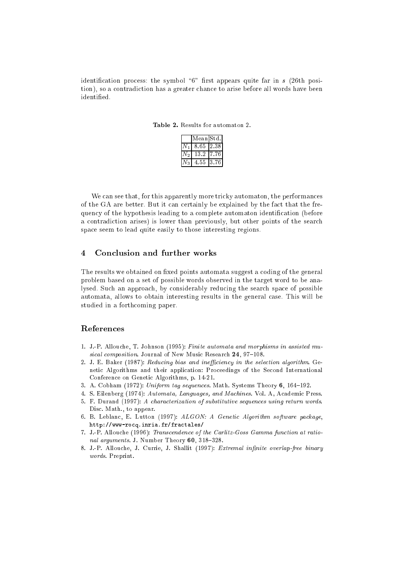identification process: the symbol "6" first appears quite far in  $s$  (26th position), so a contradiction has a greater chance to arise before all words have been identified

|  |  |  | <b>Table 2.</b> Results for automaton 2. |  |
|--|--|--|------------------------------------------|--|
|--|--|--|------------------------------------------|--|

|  | Mean Std. |      |
|--|-----------|------|
|  | 8.65      | 238  |
|  | 13 2      | -76  |
|  | 4.55      | 3.76 |

We can see that, for this apparently more tricky automaton, the performances of the GA are better. But it can certainly be explained by the fact that the frequency of the hypothesis leading to a complete automaton identification (before a contradiction arises) is lower than previously, but other points of the search space seem to lead quite easily to those interesting regions.

#### $\overline{\mathcal{L}}$ Conclusion and further works

The results we obtained on fixed points automata suggest a coding of the general problem based on a set of possible words observed in the target word to be analysed. Such an approach, by considerably reducing the search space of possible automata, allows to obtain interesting results in the general case. This will be studied in a forthcoming paper.

## References

- 1. J.-P. Allouche, T. Johnson (1995): Finite automata and morphisms in assisted musical composition. Journal of New Music Research  $24$ , 97-108.
- 2. J. E. Baker (1987): Reducing bias and inefficiency in the selection algorithm. Genetic Algorithms and their application: Proceedings of the Second International Conference on Genetic Algorithms, p. 14-21.
- 3. A. Cobham (1972): Uniform tag sequences. Math. Systems Theory  $6, 164-192$ .
- 4. S. Eilenberg (1974): Automata, Languages, and Machines. Vol. A, Academic Press.
- 5. F. Durand (1997): A characterization of substitutive sequences using return words. Disc. Math., to appear.
- 6. B. Leblanc, E. Lutton (1997): ALGON: A Genetic Algorithm software package, http://www-rocq.inria.fr/fractales/
- 7. J.-P. Allouche (1996): Transcendence of the Carlitz-Goss Gamma function at rational arguments. J. Number Theory  $60, 318-328$ .
- 8. J.-P. Allouche, J. Currie, J. Shallit (1997): Extremal infinite overlap-free binary words. Preprint.